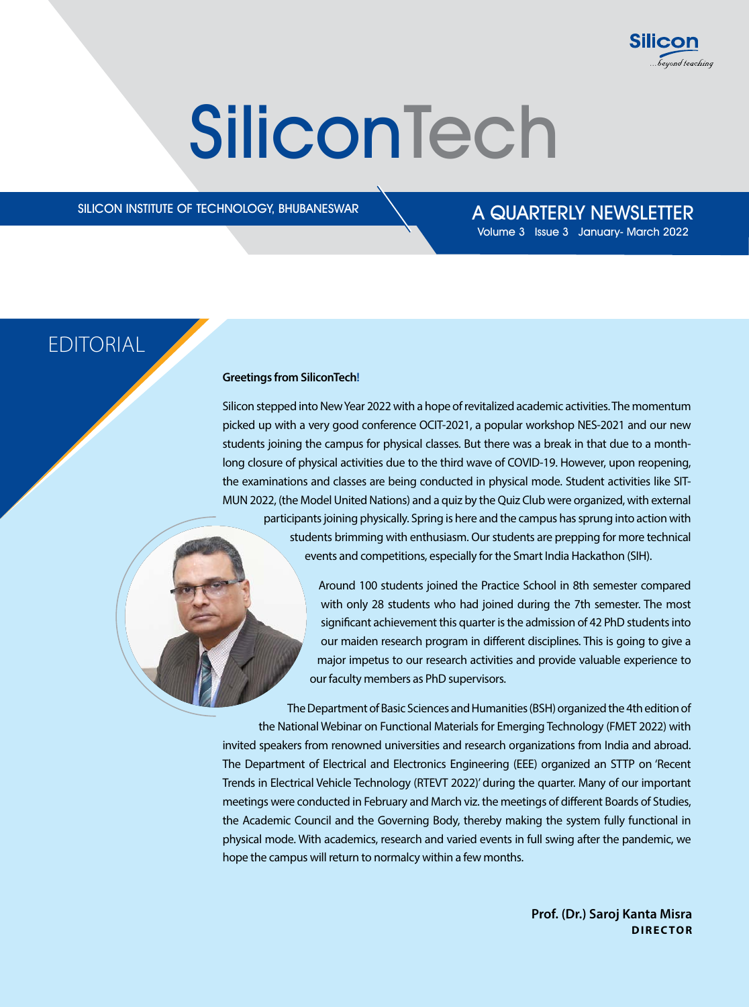

# **SiliconTech**

 $SILICON INSTITUTE OF TECHNOLOGY, BHUBANESWAR$   $A QUARTERLY NEWSLETTER$ 

Volume 3 Issue 3 January- March 2022

### **EDITORIAL**

#### **Greetings from SiliconTech!**

Silicon stepped into New Year 2022 with a hope of revitalized academic activities. The momentum picked up with a very good conference OCIT-2021, a popular workshop NES-2021 and our new students joining the campus for physical classes. But there was a break in that due to a monthlong closure of physical activities due to the third wave of COVID-19. However, upon reopening, the examinations and classes are being conducted in physical mode. Student activities like SIT-MUN 2022, (the Model United Nations) and a quiz by the Quiz Club were organized, with external participants joining physically. Spring is here and the campus has sprung into action with students brimming with enthusiasm. Our students are prepping for more technical events and competitions, especially for the Smart India Hackathon (SIH).

> Around 100 students joined the Practice School in 8th semester compared with only 28 students who had joined during the 7th semester. The most significant achievement this quarter is the admission of 42 PhD students into our maiden research program in different disciplines. This is going to give a major impetus to our research activities and provide valuable experience to our faculty members as PhD supervisors.

The Department of Basic Sciences and Humanities (BSH) organized the 4th edition of the National Webinar on Functional Materials for Emerging Technology (FMET 2022) with invited speakers from renowned universities and research organizations from India and abroad. The Department of Electrical and Electronics Engineering (EEE) organized an STTP on 'Recent Trends in Electrical Vehicle Technology (RTEVT 2022)' during the quarter. Many of our important meetings were conducted in February and March viz. the meetings of different Boards of Studies, the Academic Council and the Governing Body, thereby making the system fully functional in physical mode. With academics, research and varied events in full swing after the pandemic, we hope the campus will return to normalcy within a few months.

> **Prof. (Dr.) Saroj Kanta Misra DIRECTOR**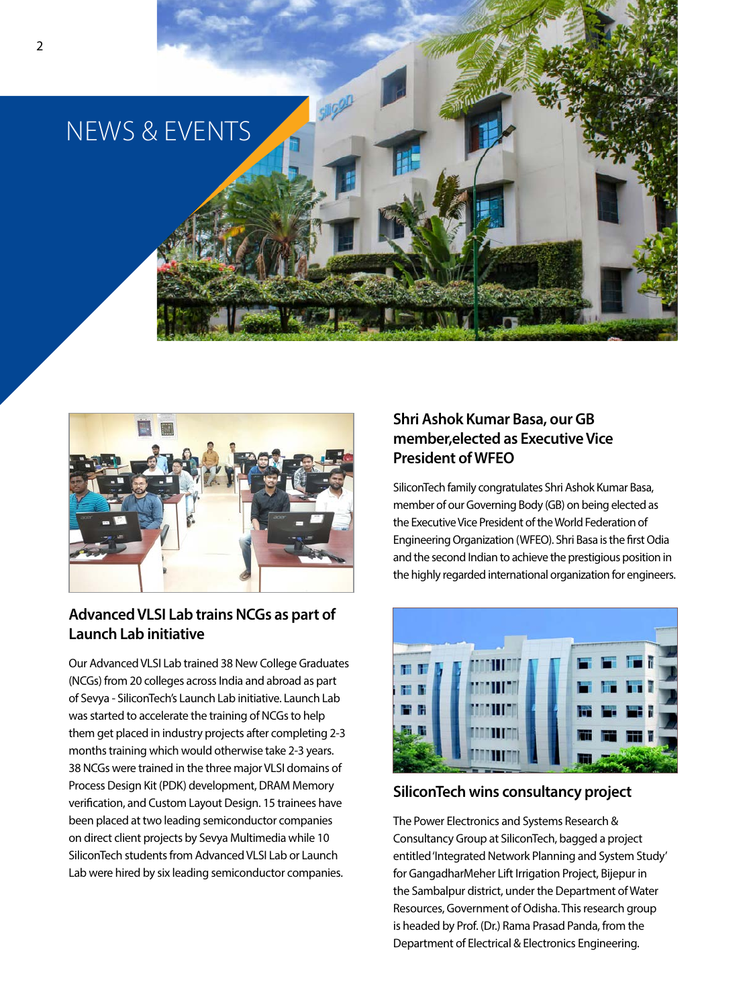



### **Advanced VLSI Lab trains NCGs as part of Launch Lab initiative**

Our Advanced VLSI Lab trained 38 New College Graduates (NCGs) from 20 colleges across India and abroad as part of Sevya - SiliconTech's Launch Lab initiative. Launch Lab was started to accelerate the training of NCGs to help them get placed in industry projects after completing 2-3 months training which would otherwise take 2-3 years. 38 NCGs were trained in the three major VLSI domains of Process Design Kit (PDK) development, DRAM Memory verification, and Custom Layout Design. 15 trainees have been placed at two leading semiconductor companies on direct client projects by Sevya Multimedia while 10 SiliconTech students from Advanced VLSI Lab or Launch Lab were hired by six leading semiconductor companies.

### **Shri Ashok Kumar Basa, our GB member,elected as Executive Vice President of WFEO**

SiliconTech family congratulates Shri Ashok Kumar Basa, member of our Governing Body (GB) on being elected as the Executive Vice President of the World Federation of Engineering Organization (WFEO). Shri Basa is the first Odia and the second Indian to achieve the prestigious position in the highly regarded international organization for engineers.



### **SiliconTech wins consultancy project**

The Power Electronics and Systems Research & Consultancy Group at SiliconTech, bagged a project entitled 'Integrated Network Planning and System Study' for GangadharMeher Lift Irrigation Project, Bijepur in the Sambalpur district, under the Department of Water Resources, Government of Odisha. This research group is headed by Prof. (Dr.) Rama Prasad Panda, from the Department of Electrical & Electronics Engineering.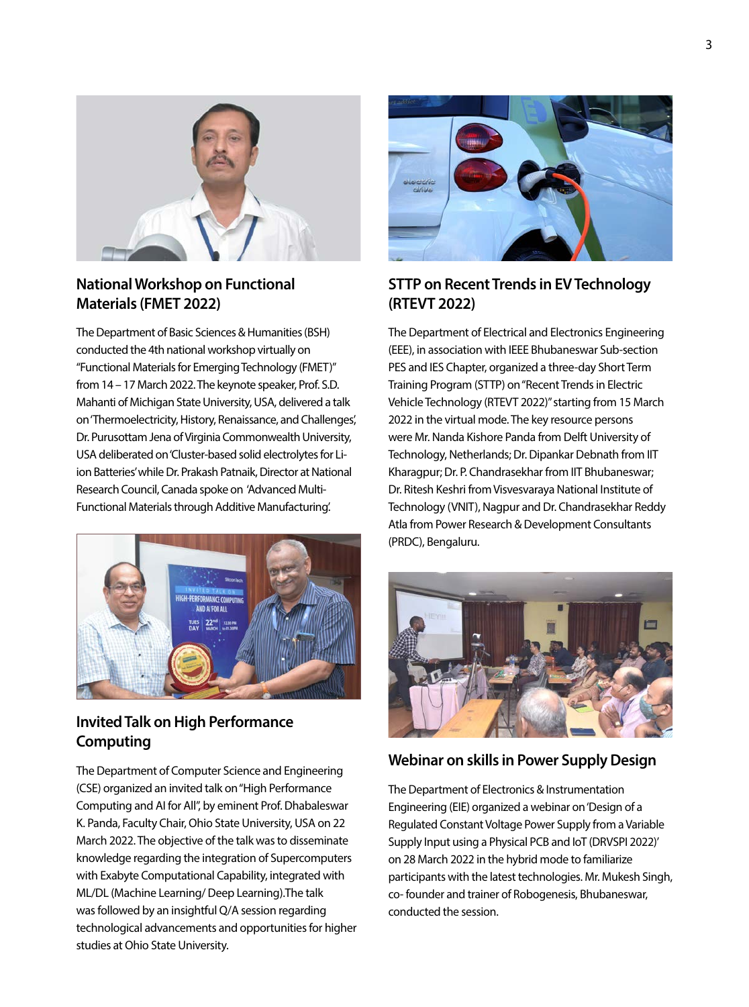



### **National Workshop on Functional Materials (FMET 2022)**

The Department of Basic Sciences & Humanities (BSH) conducted the 4th national workshop virtually on "Functional Materials for Emerging Technology (FMET)" from 14 – 17 March 2022. The keynote speaker, Prof. S.D. Mahanti of Michigan State University, USA, delivered a talk on 'Thermoelectricity, History, Renaissance, and Challenges', Dr. Purusottam Jena of Virginia Commonwealth University, USA deliberated on 'Cluster-based solid electrolytes for Liion Batteries' while Dr. Prakash Patnaik, Director at National Research Council, Canada spoke on 'Advanced Multi-Functional Materials through Additive Manufacturing'.



### **Invited Talk on High Performance Computing**

The Department of Computer Science and Engineering (CSE) organized an invited talk on "High Performance Computing and AI for All", by eminent Prof. Dhabaleswar K. Panda, Faculty Chair, Ohio State University, USA on 22 March 2022. The objective of the talk was to disseminate knowledge regarding the integration of Supercomputers with Exabyte Computational Capability, integrated with ML/DL (Machine Learning/ Deep Learning).The talk was followed by an insightful Q/A session regarding technological advancements and opportunities for higher studies at Ohio State University.



### **STTP on Recent Trends in EV Technology (RTEVT 2022)**

The Department of Electrical and Electronics Engineering (EEE), in association with IEEE Bhubaneswar Sub-section PES and IES Chapter, organized a three-day Short Term Training Program (STTP) on "Recent Trends in Electric Vehicle Technology (RTEVT 2022)" starting from 15 March 2022 in the virtual mode. The key resource persons were Mr. Nanda Kishore Panda from Delft University of Technology, Netherlands; Dr. Dipankar Debnath from IIT Kharagpur; Dr. P. Chandrasekhar from IIT Bhubaneswar; Dr. Ritesh Keshri from Visvesvaraya National Institute of Technology (VNIT), Nagpur and Dr. Chandrasekhar Reddy Atla from Power Research & Development Consultants (PRDC), Bengaluru.



### **Webinar on skills in Power Supply Design**

The Department of Electronics & Instrumentation Engineering (EIE) organized a webinar on 'Design of a Regulated Constant Voltage Power Supply from a Variable Supply Input using a Physical PCB and IoT (DRVSPI 2022)' on 28 March 2022 in the hybrid mode to familiarize participants with the latest technologies. Mr. Mukesh Singh, co- founder and trainer of Robogenesis, Bhubaneswar, conducted the session.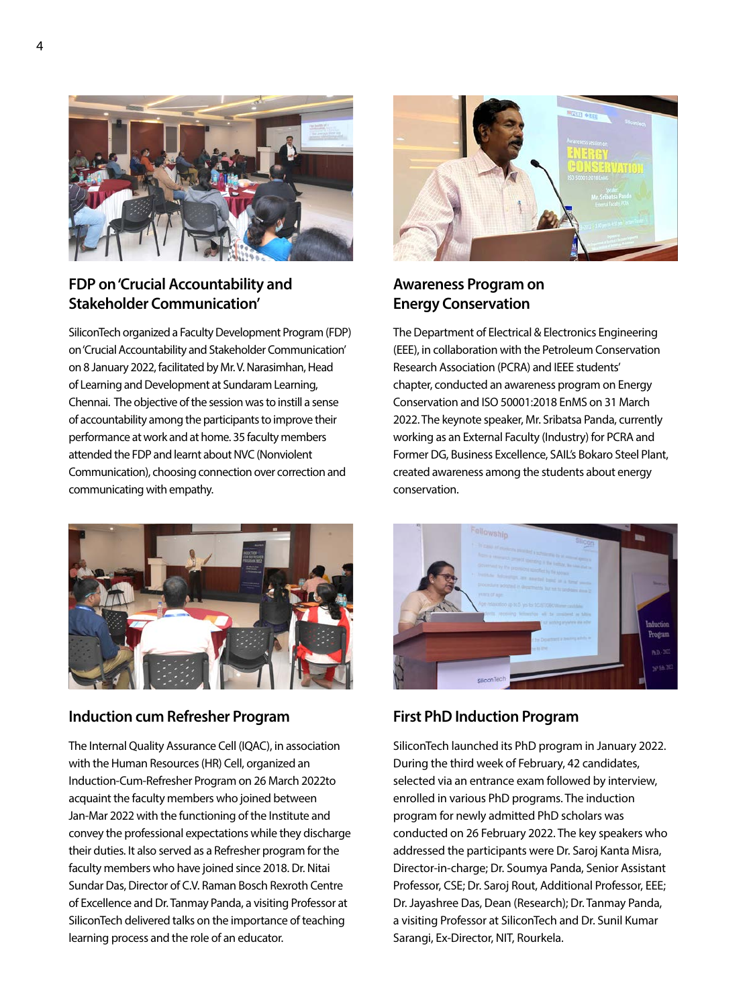

### **FDP on 'Crucial Accountability and Stakeholder Communication'**

SiliconTech organized a Faculty Development Program (FDP) on 'Crucial Accountability and Stakeholder Communication' on 8 January 2022, facilitated by Mr. V. Narasimhan, Head of Learning and Development at Sundaram Learning, Chennai. The objective of the session was to instill a sense of accountability among the participants to improve their performance at work and at home. 35 faculty members attended the FDP and learnt about NVC (Nonviolent Communication), choosing connection over correction and communicating with empathy.



### **Induction cum Refresher Program**

The Internal Quality Assurance Cell (IQAC), in association with the Human Resources (HR) Cell, organized an Induction-Cum-Refresher Program on 26 March 2022to acquaint the faculty members who joined between Jan-Mar 2022 with the functioning of the Institute and convey the professional expectations while they discharge their duties. It also served as a Refresher program for the faculty members who have joined since 2018. Dr. Nitai Sundar Das, Director of C.V. Raman Bosch Rexroth Centre of Excellence and Dr. Tanmay Panda, a visiting Professor at SiliconTech delivered talks on the importance of teaching learning process and the role of an educator.



### **Awareness Program on Energy Conservation**

The Department of Electrical & Electronics Engineering (EEE), in collaboration with the Petroleum Conservation Research Association (PCRA) and IEEE students' chapter, conducted an awareness program on Energy Conservation and ISO 50001:2018 EnMS on 31 March 2022. The keynote speaker, Mr. Sribatsa Panda, currently working as an External Faculty (Industry) for PCRA and Former DG, Business Excellence, SAIL's Bokaro Steel Plant, created awareness among the students about energy conservation.



### **First PhD Induction Program**

SiliconTech launched its PhD program in January 2022. During the third week of February, 42 candidates, selected via an entrance exam followed by interview, enrolled in various PhD programs. The induction program for newly admitted PhD scholars was conducted on 26 February 2022. The key speakers who addressed the participants were Dr. Saroj Kanta Misra, Director-in-charge; Dr. Soumya Panda, Senior Assistant Professor, CSE; Dr. Saroj Rout, Additional Professor, EEE; Dr. Jayashree Das, Dean (Research); Dr. Tanmay Panda, a visiting Professor at SiliconTech and Dr. Sunil Kumar Sarangi, Ex-Director, NIT, Rourkela.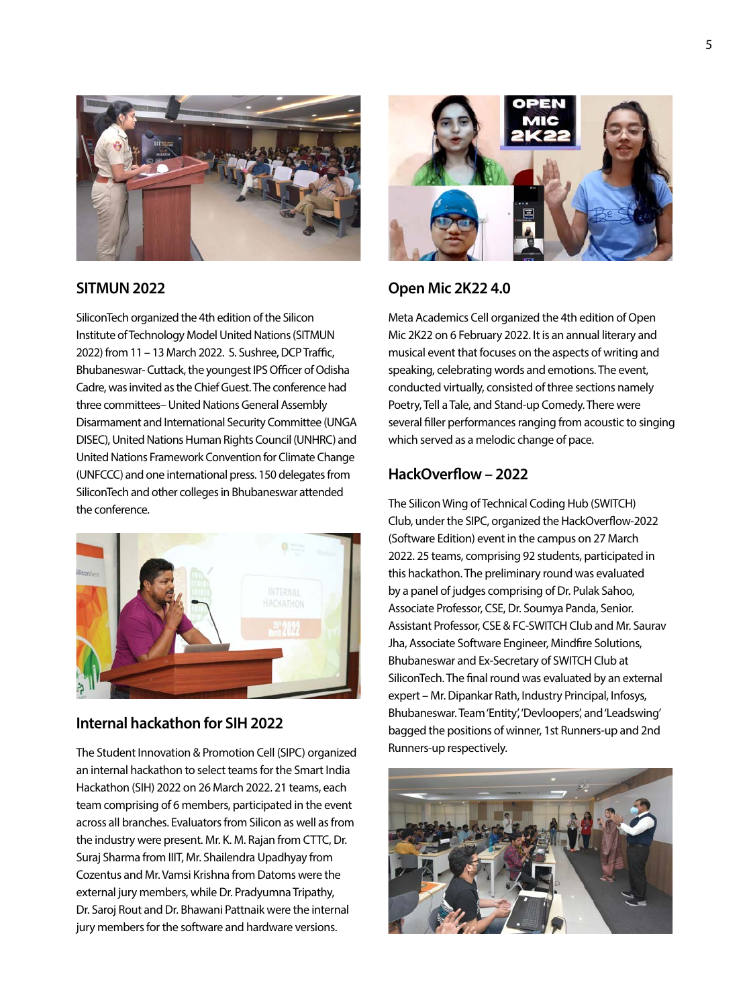

### **SITMUN 2022**

SiliconTech organized the 4th edition of the Silicon Institute of Technology Model United Nations (SITMUN 2022) from 11 – 13 March 2022. S. Sushree, DCP Traffic, Bhubaneswar- Cuttack, the youngest IPS Officer of Odisha Cadre, was invited as the Chief Guest. The conference had three committees– United Nations General Assembly Disarmament and International Security Committee (UNGA DISEC), United Nations Human Rights Council (UNHRC) and United Nations Framework Convention for Climate Change (UNFCCC) and one international press. 150 delegates from SiliconTech and other colleges in Bhubaneswar attended the conference.



### **Internal hackathon for SIH 2022**

The Student Innovation & Promotion Cell (SIPC) organized an internal hackathon to select teams for the Smart India Hackathon (SIH) 2022 on 26 March 2022. 21 teams, each team comprising of 6 members, participated in the event across all branches. Evaluators from Silicon as well as from the industry were present. Mr. K. M. Rajan from CTTC, Dr. Suraj Sharma from IIIT, Mr. Shailendra Upadhyay from Cozentus and Mr. Vamsi Krishna from Datoms were the external jury members, while Dr. Pradyumna Tripathy, Dr. Saroj Rout and Dr. Bhawani Pattnaik were the internal jury members for the software and hardware versions.



### **Open Mic 2K22 4.0**

Meta Academics Cell organized the 4th edition of Open Mic 2K22 on 6 February 2022. It is an annual literary and musical event that focuses on the aspects of writing and speaking, celebrating words and emotions. The event, conducted virtually, consisted of three sections namely Poetry, Tell a Tale, and Stand-up Comedy. There were several filler performances ranging from acoustic to singing which served as a melodic change of pace.

### **HackOverflow – 2022**

The Silicon Wing of Technical Coding Hub (SWITCH) Club, under the SIPC, organized the HackOverflow-2022 (Software Edition) event in the campus on 27 March 2022. 25 teams, comprising 92 students, participated in this hackathon. The preliminary round was evaluated by a panel of judges comprising of Dr. Pulak Sahoo, Associate Professor, CSE, Dr. Soumya Panda, Senior. Assistant Professor, CSE & FC-SWITCH Club and Mr. Saurav Jha, Associate Software Engineer, Mindfire Solutions, Bhubaneswar and Ex-Secretary of SWITCH Club at SiliconTech. The final round was evaluated by an external expert – Mr. Dipankar Rath, Industry Principal, Infosys, Bhubaneswar. Team 'Entity', 'Devloopers', and 'Leadswing' bagged the positions of winner, 1st Runners-up and 2nd Runners-up respectively.

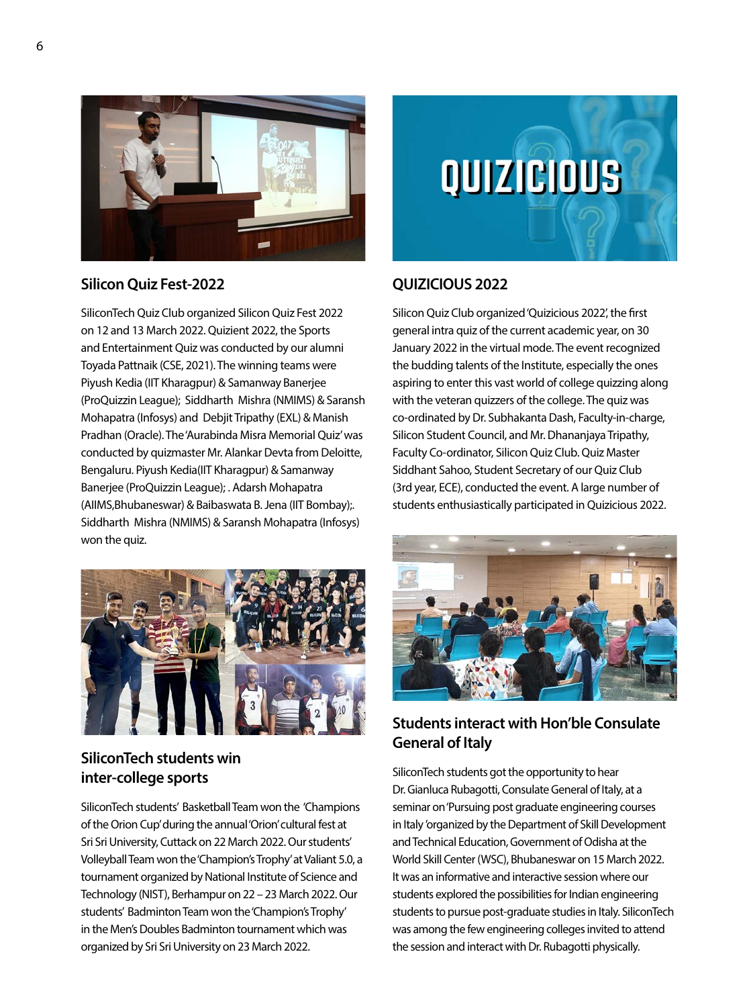

### **Silicon Quiz Fest-2022**

SiliconTech Quiz Club organized Silicon Quiz Fest 2022 on 12 and 13 March 2022. Quizient 2022, the Sports and Entertainment Quiz was conducted by our alumni Toyada Pattnaik (CSE, 2021). The winning teams were Piyush Kedia (IIT Kharagpur) & Samanway Banerjee (ProQuizzin League); Siddharth Mishra (NMIMS) & Saransh Mohapatra (Infosys) and Debjit Tripathy (EXL) & Manish Pradhan (Oracle). The 'Aurabinda Misra Memorial Quiz' was conducted by quizmaster Mr. Alankar Devta from Deloitte, Bengaluru. Piyush Kedia(IIT Kharagpur) & Samanway Banerjee (ProQuizzin League); . Adarsh Mohapatra (AIIMS,Bhubaneswar) & Baibaswata B. Jena (IIT Bombay);. Siddharth Mishra (NMIMS) & Saransh Mohapatra (Infosys) won the quiz.



### **SiliconTech students win inter-college sports**

SiliconTech students' Basketball Team won the 'Champions of the Orion Cup' during the annual 'Orion' cultural fest at Sri Sri University, Cuttack on 22 March 2022. Our students' Volleyball Team won the 'Champion's Trophy' at Valiant 5.0, a tournament organized by National Institute of Science and Technology (NIST), Berhampur on 22 – 23 March 2022. Our students' Badminton Team won the 'Champion's Trophy' in the Men's Doubles Badminton tournament which was organized by Sri Sri University on 23 March 2022.



### **QUIZICIOUS 2022**

Silicon Quiz Club organized 'Quizicious 2022', the first general intra quiz of the current academic year, on 30 January 2022 in the virtual mode. The event recognized the budding talents of the Institute, especially the ones aspiring to enter this vast world of college quizzing along with the veteran quizzers of the college. The quiz was co-ordinated by Dr. Subhakanta Dash, Faculty-in-charge, Silicon Student Council, and Mr. Dhananjaya Tripathy, Faculty Co-ordinator, Silicon Quiz Club. Quiz Master Siddhant Sahoo, Student Secretary of our Quiz Club (3rd year, ECE), conducted the event. A large number of students enthusiastically participated in Quizicious 2022.



### **Students interact with Hon'ble Consulate General of Italy**

SiliconTech students got the opportunity to hear Dr. Gianluca Rubagotti, Consulate General of Italy, at a seminar on 'Pursuing post graduate engineering courses in Italy 'organized by the Department of Skill Development and Technical Education, Government of Odisha at the World Skill Center (WSC), Bhubaneswar on 15 March 2022. It was an informative and interactive session where our students explored the possibilities for Indian engineering students to pursue post-graduate studies in Italy. SiliconTech was among the few engineering colleges invited to attend the session and interact with Dr. Rubagotti physically.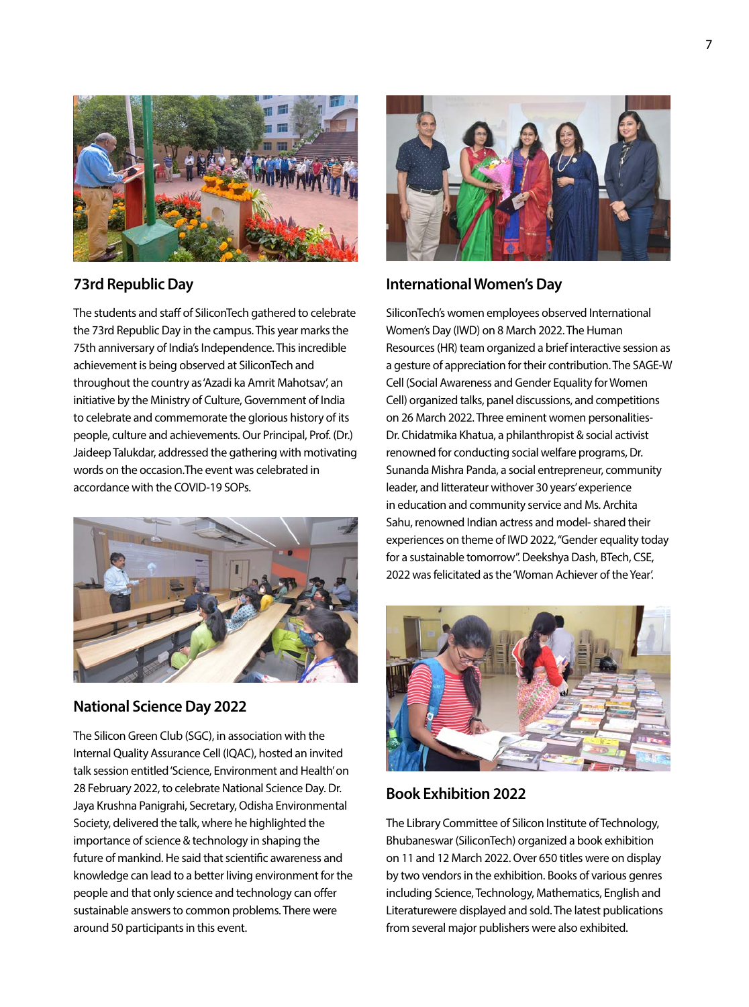

### **73rd Republic Day**

The students and staff of SiliconTech gathered to celebrate the 73rd Republic Day in the campus. This year marks the 75th anniversary of India's Independence. This incredible achievement is being observed at SiliconTech and throughout the country as 'Azadi ka Amrit Mahotsav', an initiative by the Ministry of Culture, Government of India to celebrate and commemorate the glorious history of its people, culture and achievements. Our Principal, Prof. (Dr.) Jaideep Talukdar, addressed the gathering with motivating words on the occasion.The event was celebrated in accordance with the COVID-19 SOPs.



### **National Science Day 2022**

The Silicon Green Club (SGC), in association with the Internal Quality Assurance Cell (IQAC), hosted an invited talk session entitled 'Science, Environment and Health' on 28 February 2022, to celebrate National Science Day. Dr. Jaya Krushna Panigrahi, Secretary, Odisha Environmental Society, delivered the talk, where he highlighted the importance of science & technology in shaping the future of mankind. He said that scientific awareness and knowledge can lead to a better living environment for the people and that only science and technology can offer sustainable answers to common problems. There were around 50 participants in this event.



### **International Women's Day**

SiliconTech's women employees observed International Women's Day (IWD) on 8 March 2022. The Human Resources (HR) team organized a brief interactive session as a gesture of appreciation for their contribution. The SAGE-W Cell (Social Awareness and Gender Equality for Women Cell) organized talks, panel discussions, and competitions on 26 March 2022. Three eminent women personalities-Dr. Chidatmika Khatua, a philanthropist & social activist renowned for conducting social welfare programs, Dr. Sunanda Mishra Panda, a social entrepreneur, community leader, and litterateur withover 30 years' experience in education and community service and Ms. Archita Sahu, renowned Indian actress and model- shared their experiences on theme of IWD 2022, "Gender equality today for a sustainable tomorrow". Deekshya Dash, BTech, CSE, 2022 was felicitated as the 'Woman Achiever of the Year'.



### **Book Exhibition 2022**

The Library Committee of Silicon Institute of Technology, Bhubaneswar (SiliconTech) organized a book exhibition on 11 and 12 March 2022. Over 650 titles were on display by two vendors in the exhibition. Books of various genres including Science, Technology, Mathematics, English and Literaturewere displayed and sold. The latest publications from several major publishers were also exhibited.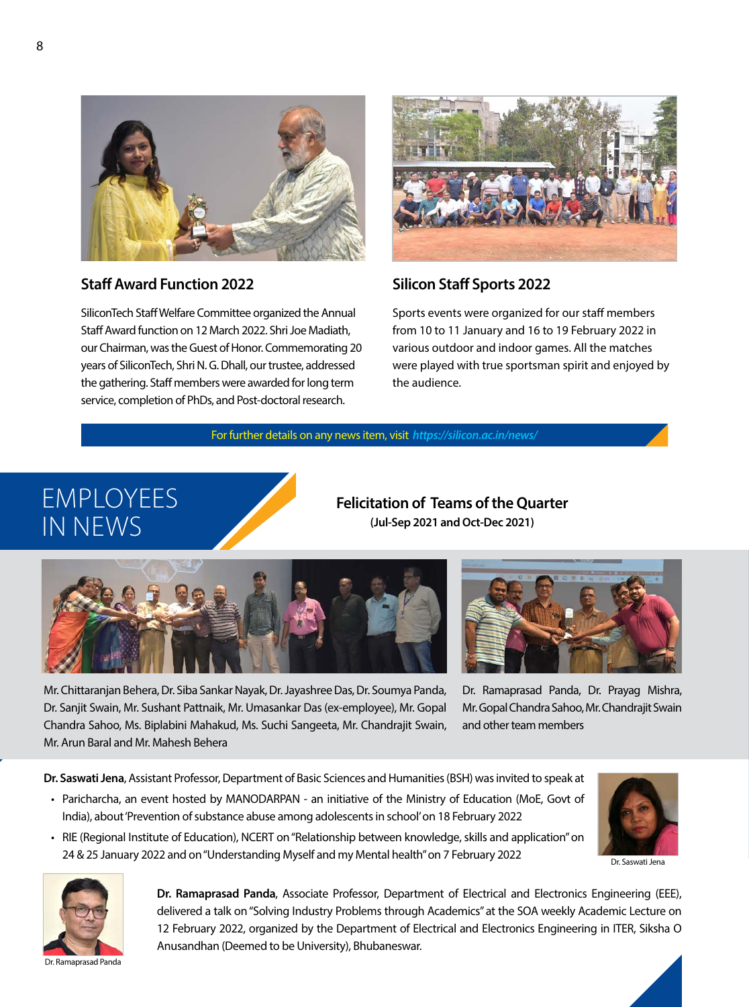

### **Staff Award Function 2022**

SiliconTech Staff Welfare Committee organized the Annual Staff Award function on 12 March 2022. Shri Joe Madiath, our Chairman, was the Guest of Honor. Commemorating 20 years of SiliconTech, Shri N. G. Dhall, our trustee, addressed the gathering. Staff members were awarded for long term service, completion of PhDs, and Post-doctoral research.



### **Silicon Staff Sports 2022**

Sports events were organized for our staff members from 10 to 11 January and 16 to 19 February 2022 in various outdoor and indoor games. All the matches were played with true sportsman spirit and enjoyed by the audience.

For further details on any news item, visit *https://silicon.ac.in/news/*

### EMPLOYEES IN NEWS

**Felicitation of Teams of the Quarter (Jul-Sep 2021 and Oct-Dec 2021)**





Mr. Chittaranjan Behera, Dr. Siba Sankar Nayak, Dr. Jayashree Das, Dr. Soumya Panda, Dr. Sanjit Swain, Mr. Sushant Pattnaik, Mr. Umasankar Das (ex-employee), Mr. Gopal Chandra Sahoo, Ms. Biplabini Mahakud, Ms. Suchi Sangeeta, Mr. Chandrajit Swain, Mr. Arun Baral and Mr. Mahesh Behera

Dr. Ramaprasad Panda, Dr. Prayag Mishra, Mr. Gopal Chandra Sahoo, Mr. Chandrajit Swain and other team members

**Dr. Saswati Jena**, Assistant Professor, Department of Basic Sciences and Humanities (BSH) was invited to speak at

• Paricharcha, an event hosted by MANODARPAN - an initiative of the Ministry of Education (MoE, Govt of India), about 'Prevention of substance abuse among adolescents in school' on 18 February 2022

• RIE (Regional Institute of Education), NCERT on "Relationship between knowledge, skills and application" on

24 & 25 January 2022 and on "Understanding Myself and my Mental health" on 7 February 2022



Dr. Ramaprasad Panda

**Dr. Ramaprasad Panda**, Associate Professor, Department of Electrical and Electronics Engineering (EEE), delivered a talk on "Solving Industry Problems through Academics" at the SOA weekly Academic Lecture on 12 February 2022, organized by the Department of Electrical and Electronics Engineering in ITER, Siksha O Anusandhan (Deemed to be University), Bhubaneswar.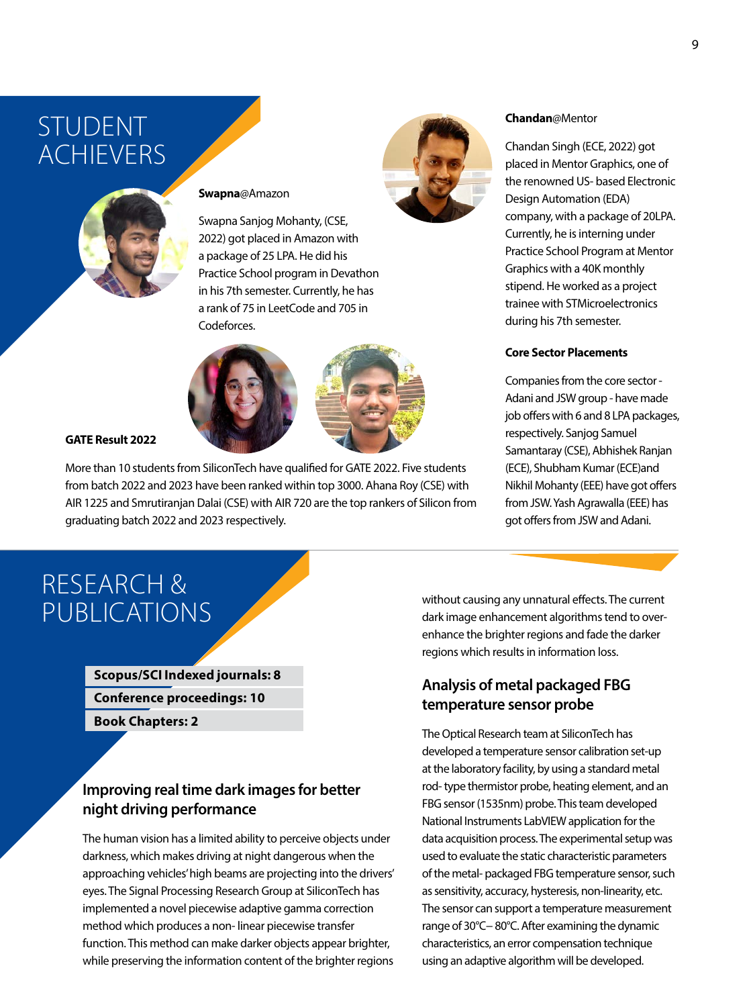### STUDENT ACHIEVERS



### **Swapna**@Amazon

Swapna Sanjog Mohanty, (CSE, 2022) got placed in Amazon with a package of 25 LPA. He did his Practice School program in Devathon in his 7th semester. Currently, he has a rank of 75 in LeetCode and 705 in Codeforces.





**GATE Result 2022**

More than 10 students from SiliconTech have qualified for GATE 2022. Five students from batch 2022 and 2023 have been ranked within top 3000. Ahana Roy (CSE) with AIR 1225 and Smrutiranjan Dalai (CSE) with AIR 720 are the top rankers of Silicon from graduating batch 2022 and 2023 respectively.

### RESEARCH & PUBLICATIONS

**Scopus/SCI Indexed journals: 8 Conference proceedings: 10**

**Book Chapters: 2**

### **Improving real time dark images for better night driving performance**

The human vision has a limited ability to perceive objects under darkness, which makes driving at night dangerous when the approaching vehicles' high beams are projecting into the drivers' eyes. The Signal Processing Research Group at SiliconTech has implemented a novel piecewise adaptive gamma correction method which produces a non- linear piecewise transfer function. This method can make darker objects appear brighter, while preserving the information content of the brighter regions



#### **Chandan**@Mentor

Chandan Singh (ECE, 2022) got placed in Mentor Graphics, one of the renowned US- based Electronic Design Automation (EDA) company, with a package of 20LPA. Currently, he is interning under Practice School Program at Mentor Graphics with a 40K monthly stipend. He worked as a project trainee with STMicroelectronics during his 7th semester.

#### **Core Sector Placements**

Companies from the core sector - Adani and JSW group - have made job offers with 6 and 8 LPA packages, respectively. Sanjog Samuel Samantaray (CSE), Abhishek Ranjan (ECE), Shubham Kumar (ECE)and Nikhil Mohanty (EEE) have got offers from JSW. Yash Agrawalla (EEE) has got offers from JSW and Adani.

without causing any unnatural effects. The current dark image enhancement algorithms tend to overenhance the brighter regions and fade the darker regions which results in information loss.

### **Analysis of metal packaged FBG temperature sensor probe**

The Optical Research team at SiliconTech has developed a temperature sensor calibration set-up at the laboratory facility, by using a standard metal rod- type thermistor probe, heating element, and an FBG sensor (1535nm) probe. This team developed National Instruments LabVIEW application for the data acquisition process. The experimental setup was used to evaluate the static characteristic parameters of the metal- packaged FBG temperature sensor, such as sensitivity, accuracy, hysteresis, non-linearity, etc. The sensor can support a temperature measurement range of 30°C− 80°C. After examining the dynamic characteristics, an error compensation technique using an adaptive algorithm will be developed.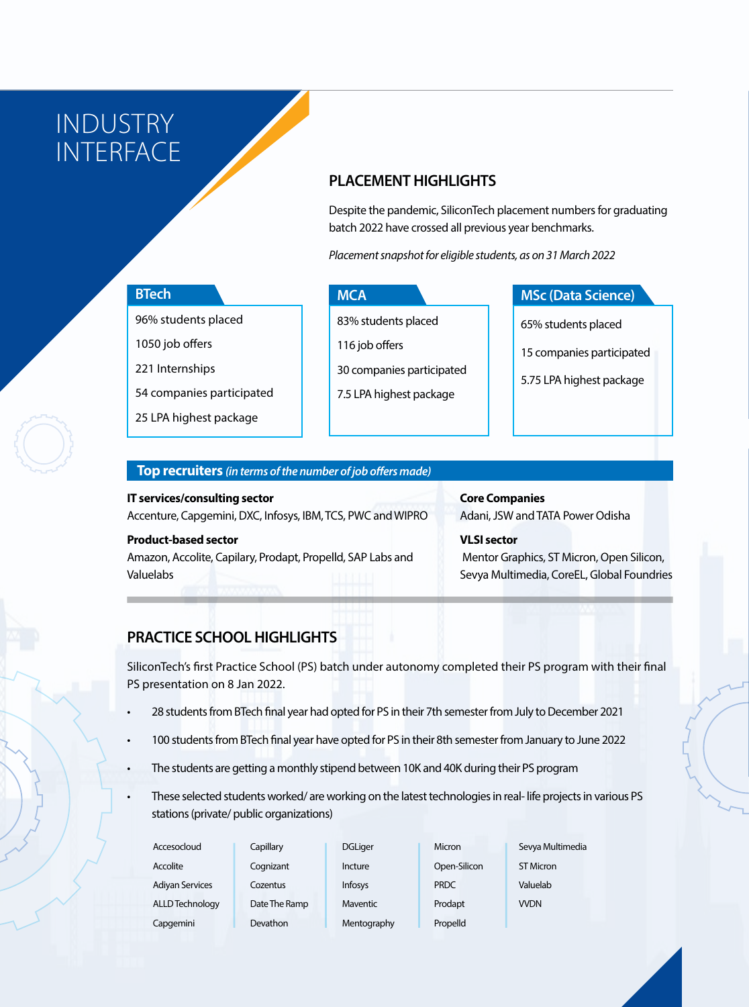INDUSTRY INTERFACE

### **PLACEMENT HIGHLIGHTS**

Despite the pandemic, SiliconTech placement numbers for graduating batch 2022 have crossed all previous year benchmarks.

*Placement snapshot for eligible students, as on 31 March 2022*

### **BTech**

96% students placed

1050 job offers

221 Internships

54 companies participated

25 LPA highest package

### **MCA**

83% students placed

116 job offers

30 companies participated

7.5 LPA highest package

### **MSc (Data Science)**

65% students placed

15 companies participated

5.75 LPA highest package

### **Top recruiters** *(in terms of the number of job offers made)*

**IT services/consulting sector** Accenture, Capgemini, DXC, Infosys, IBM, TCS, PWC and WIPRO

### **Product-based sector**

Amazon, Accolite, Capilary, Prodapt, Propelld, SAP Labs and Valuelabs

### **Core Companies** Adani, JSW and TATA Power Odisha

**VLSI sector** Mentor Graphics, ST Micron, Open Silicon, Sevya Multimedia, CoreEL, Global Foundries

### **PRACTICE SCHOOL HIGHLIGHTS**

SiliconTech's first Practice School (PS) batch under autonomy completed their PS program with their final PS presentation on 8 Jan 2022.

- 28 students from BTech final year had opted for PS in their 7th semester from July to December 2021
- 100 students from BTech final year have opted for PS in their 8th semester from January to June 2022
- The students are getting a monthly stipend between 10K and 40K during their PS program
- These selected students worked/ are working on the latest technologies in real- life projects in various PS stations (private/ public organizations)

| Accesocloud            | Capillary       | <b>DGLiger</b>  | Micron       | Sevya Multimedia |  |
|------------------------|-----------------|-----------------|--------------|------------------|--|
| Accolite               | Cognizant       | Incture         | Open-Silicon | ST Micron        |  |
| <b>Adiyan Services</b> | Cozentus        | Infosys         | <b>PRDC</b>  | Valuelab         |  |
| ALLD Technology        | Date The Ramp   | <b>Maventic</b> | Prodapt      | <b>WDN</b>       |  |
| Capgemini              | <b>Devathon</b> | Mentography     | Propelld     |                  |  |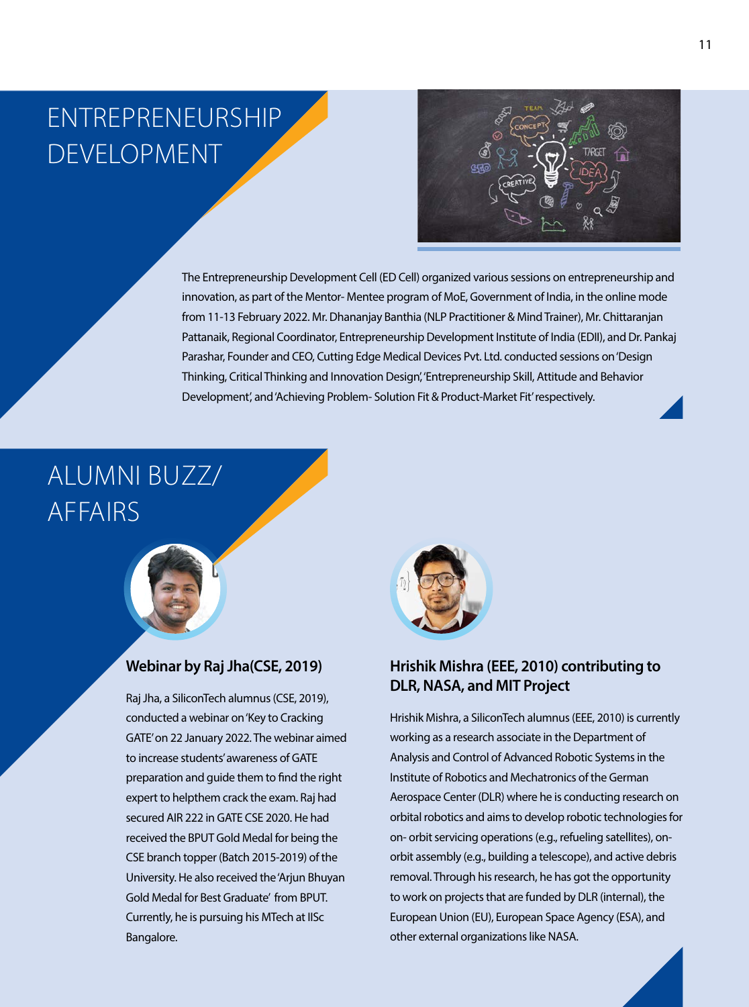# Entrepreneurship Development



The Entrepreneurship Development Cell (ED Cell) organized various sessions on entrepreneurship and innovation, as part of the Mentor- Mentee program of MoE, Government of India, in the online mode from 11-13 February 2022. Mr. Dhananjay Banthia (NLP Practitioner & Mind Trainer), Mr. Chittaranjan Pattanaik, Regional Coordinator, Entrepreneurship Development Institute of India (EDII), and Dr. Pankaj Parashar, Founder and CEO, Cutting Edge Medical Devices Pvt. Ltd. conducted sessions on 'Design Thinking, Critical Thinking and Innovation Design', 'Entrepreneurship Skill, Attitude and Behavior Development', and 'Achieving Problem- Solution Fit & Product-Market Fit' respectively.

### ALUMNI BUZZ/ AFFAIRS



### **Webinar by Raj Jha(CSE, 2019)**

Raj Jha, a SiliconTech alumnus (CSE, 2019), conducted a webinar on 'Key to Cracking GATE' on 22 January 2022. The webinar aimed to increase students' awareness of GATE preparation and guide them to find the right expert to helpthem crack the exam. Raj had secured AIR 222 in GATE CSE 2020. He had received the BPUT Gold Medal for being the CSE branch topper (Batch 2015-2019) of the University. He also received the 'Arjun Bhuyan Gold Medal for Best Graduate' from BPUT. Currently, he is pursuing his MTech at IISc Bangalore.



### **Hrishik Mishra (EEE, 2010) contributing to DLR, NASA, and MIT Project**

Hrishik Mishra, a SiliconTech alumnus (EEE, 2010) is currently working as a research associate in the Department of Analysis and Control of Advanced Robotic Systems in the Institute of Robotics and Mechatronics of the German Aerospace Center (DLR) where he is conducting research on orbital robotics and aims to develop robotic technologies for on- orbit servicing operations (e.g., refueling satellites), onorbit assembly (e.g., building a telescope), and active debris removal. Through his research, he has got the opportunity to work on projects that are funded by DLR (internal), the European Union (EU), European Space Agency (ESA), and other external organizations like NASA.